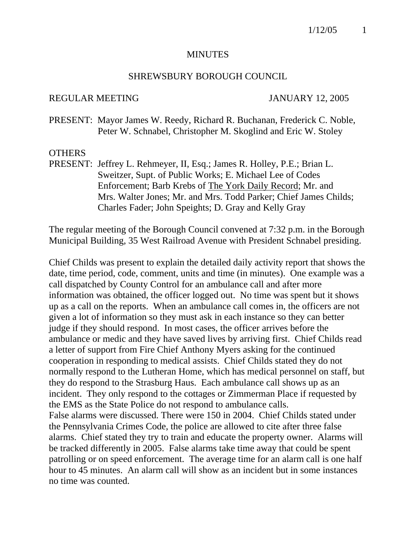#### **MINUTES**

#### SHREWSBURY BOROUGH COUNCIL

#### REGULAR MEETING JANUARY 12, 2005

PRESENT: Mayor James W. Reedy, Richard R. Buchanan, Frederick C. Noble, Peter W. Schnabel, Christopher M. Skoglind and Eric W. Stoley

#### **OTHERS**

PRESENT: Jeffrey L. Rehmeyer, II, Esq.; James R. Holley, P.E.; Brian L. Sweitzer, Supt. of Public Works; E. Michael Lee of Codes Enforcement; Barb Krebs of The York Daily Record; Mr. and Mrs. Walter Jones; Mr. and Mrs. Todd Parker; Chief James Childs; Charles Fader; John Speights; D. Gray and Kelly Gray

The regular meeting of the Borough Council convened at 7:32 p.m. in the Borough Municipal Building, 35 West Railroad Avenue with President Schnabel presiding.

Chief Childs was present to explain the detailed daily activity report that shows the date, time period, code, comment, units and time (in minutes). One example was a call dispatched by County Control for an ambulance call and after more information was obtained, the officer logged out. No time was spent but it shows up as a call on the reports. When an ambulance call comes in, the officers are not given a lot of information so they must ask in each instance so they can better judge if they should respond. In most cases, the officer arrives before the ambulance or medic and they have saved lives by arriving first. Chief Childs read a letter of support from Fire Chief Anthony Myers asking for the continued cooperation in responding to medical assists. Chief Childs stated they do not normally respond to the Lutheran Home, which has medical personnel on staff, but they do respond to the Strasburg Haus. Each ambulance call shows up as an incident. They only respond to the cottages or Zimmerman Place if requested by the EMS as the State Police do not respond to ambulance calls. False alarms were discussed. There were 150 in 2004. Chief Childs stated under the Pennsylvania Crimes Code, the police are allowed to cite after three false alarms. Chief stated they try to train and educate the property owner. Alarms will be tracked differently in 2005. False alarms take time away that could be spent patrolling or on speed enforcement. The average time for an alarm call is one half hour to 45 minutes. An alarm call will show as an incident but in some instances no time was counted.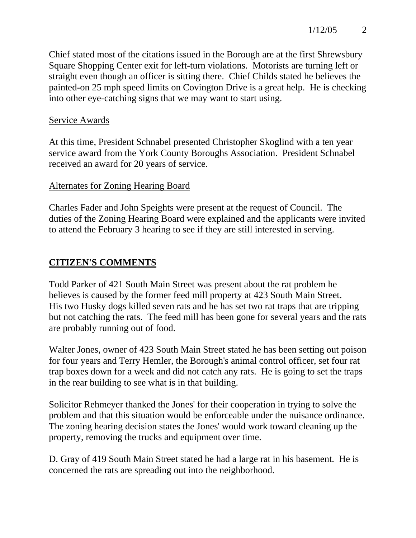Chief stated most of the citations issued in the Borough are at the first Shrewsbury Square Shopping Center exit for left-turn violations. Motorists are turning left or straight even though an officer is sitting there. Chief Childs stated he believes the painted-on 25 mph speed limits on Covington Drive is a great help. He is checking into other eye-catching signs that we may want to start using.

## Service Awards

At this time, President Schnabel presented Christopher Skoglind with a ten year service award from the York County Boroughs Association. President Schnabel received an award for 20 years of service.

# Alternates for Zoning Hearing Board

Charles Fader and John Speights were present at the request of Council. The duties of the Zoning Hearing Board were explained and the applicants were invited to attend the February 3 hearing to see if they are still interested in serving.

# **CITIZEN'S COMMENTS**

Todd Parker of 421 South Main Street was present about the rat problem he believes is caused by the former feed mill property at 423 South Main Street. His two Husky dogs killed seven rats and he has set two rat traps that are tripping but not catching the rats. The feed mill has been gone for several years and the rats are probably running out of food.

Walter Jones, owner of 423 South Main Street stated he has been setting out poison for four years and Terry Hemler, the Borough's animal control officer, set four rat trap boxes down for a week and did not catch any rats. He is going to set the traps in the rear building to see what is in that building.

Solicitor Rehmeyer thanked the Jones' for their cooperation in trying to solve the problem and that this situation would be enforceable under the nuisance ordinance. The zoning hearing decision states the Jones' would work toward cleaning up the property, removing the trucks and equipment over time.

D. Gray of 419 South Main Street stated he had a large rat in his basement. He is concerned the rats are spreading out into the neighborhood.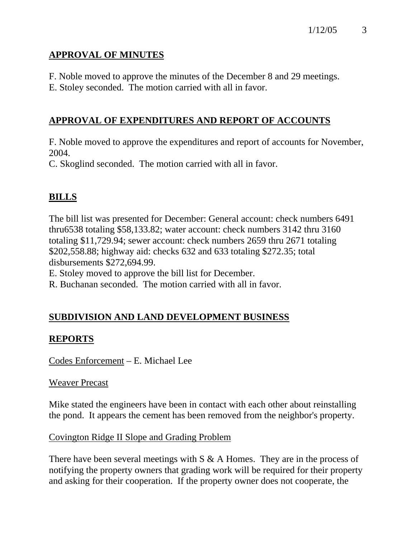# **APPROVAL OF MINUTES**

F. Noble moved to approve the minutes of the December 8 and 29 meetings.

E. Stoley seconded. The motion carried with all in favor.

# **APPROVAL OF EXPENDITURES AND REPORT OF ACCOUNTS**

F. Noble moved to approve the expenditures and report of accounts for November, 2004.

C. Skoglind seconded. The motion carried with all in favor.

# **BILLS**

The bill list was presented for December: General account: check numbers 6491 thru6538 totaling \$58,133.82; water account: check numbers 3142 thru 3160 totaling \$11,729.94; sewer account: check numbers 2659 thru 2671 totaling \$202,558.88; highway aid: checks 632 and 633 totaling \$272.35; total disbursements \$272,694.99.

E. Stoley moved to approve the bill list for December.

R. Buchanan seconded. The motion carried with all in favor.

# **SUBDIVISION AND LAND DEVELOPMENT BUSINESS**

# **REPORTS**

Codes Enforcement – E. Michael Lee

# Weaver Precast

Mike stated the engineers have been in contact with each other about reinstalling the pond. It appears the cement has been removed from the neighbor's property.

# Covington Ridge II Slope and Grading Problem

There have been several meetings with  $S \& A$  Homes. They are in the process of notifying the property owners that grading work will be required for their property and asking for their cooperation. If the property owner does not cooperate, the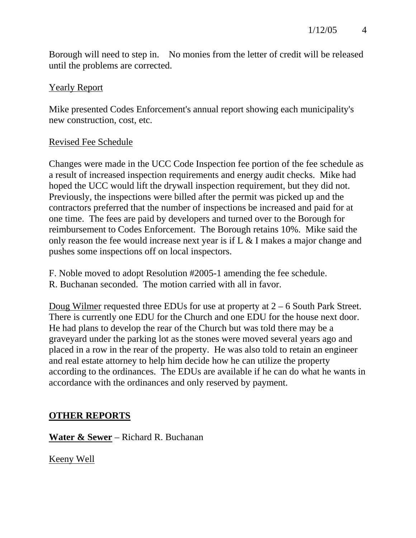Borough will need to step in. No monies from the letter of credit will be released until the problems are corrected.

### Yearly Report

Mike presented Codes Enforcement's annual report showing each municipality's new construction, cost, etc.

### Revised Fee Schedule

Changes were made in the UCC Code Inspection fee portion of the fee schedule as a result of increased inspection requirements and energy audit checks. Mike had hoped the UCC would lift the drywall inspection requirement, but they did not. Previously, the inspections were billed after the permit was picked up and the contractors preferred that the number of inspections be increased and paid for at one time. The fees are paid by developers and turned over to the Borough for reimbursement to Codes Enforcement. The Borough retains 10%. Mike said the only reason the fee would increase next year is if L & I makes a major change and pushes some inspections off on local inspectors.

F. Noble moved to adopt Resolution #2005-1 amending the fee schedule. R. Buchanan seconded. The motion carried with all in favor.

Doug Wilmer requested three EDUs for use at property at 2 – 6 South Park Street. There is currently one EDU for the Church and one EDU for the house next door. He had plans to develop the rear of the Church but was told there may be a graveyard under the parking lot as the stones were moved several years ago and placed in a row in the rear of the property. He was also told to retain an engineer and real estate attorney to help him decide how he can utilize the property according to the ordinances. The EDUs are available if he can do what he wants in accordance with the ordinances and only reserved by payment.

# **OTHER REPORTS**

**Water & Sewer** – Richard R. Buchanan

Keeny Well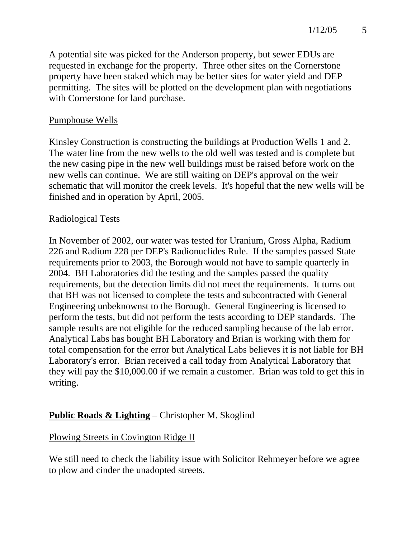A potential site was picked for the Anderson property, but sewer EDUs are requested in exchange for the property. Three other sites on the Cornerstone property have been staked which may be better sites for water yield and DEP permitting. The sites will be plotted on the development plan with negotiations with Cornerstone for land purchase.

#### Pumphouse Wells

Kinsley Construction is constructing the buildings at Production Wells 1 and 2. The water line from the new wells to the old well was tested and is complete but the new casing pipe in the new well buildings must be raised before work on the new wells can continue. We are still waiting on DEP's approval on the weir schematic that will monitor the creek levels. It's hopeful that the new wells will be finished and in operation by April, 2005.

#### Radiological Tests

In November of 2002, our water was tested for Uranium, Gross Alpha, Radium 226 and Radium 228 per DEP's Radionuclides Rule. If the samples passed State requirements prior to 2003, the Borough would not have to sample quarterly in 2004. BH Laboratories did the testing and the samples passed the quality requirements, but the detection limits did not meet the requirements. It turns out that BH was not licensed to complete the tests and subcontracted with General Engineering unbeknownst to the Borough. General Engineering is licensed to perform the tests, but did not perform the tests according to DEP standards. The sample results are not eligible for the reduced sampling because of the lab error. Analytical Labs has bought BH Laboratory and Brian is working with them for total compensation for the error but Analytical Labs believes it is not liable for BH Laboratory's error. Brian received a call today from Analytical Laboratory that they will pay the \$10,000.00 if we remain a customer. Brian was told to get this in writing.

# **Public Roads & Lighting** – Christopher M. Skoglind

### Plowing Streets in Covington Ridge II

We still need to check the liability issue with Solicitor Rehmeyer before we agree to plow and cinder the unadopted streets.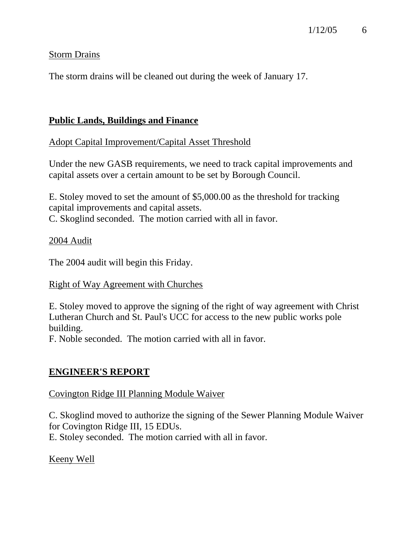### Storm Drains

The storm drains will be cleaned out during the week of January 17.

## **Public Lands, Buildings and Finance**

Adopt Capital Improvement/Capital Asset Threshold

Under the new GASB requirements, we need to track capital improvements and capital assets over a certain amount to be set by Borough Council.

E. Stoley moved to set the amount of \$5,000.00 as the threshold for tracking capital improvements and capital assets. C. Skoglind seconded. The motion carried with all in favor.

### 2004 Audit

The 2004 audit will begin this Friday.

### Right of Way Agreement with Churches

E. Stoley moved to approve the signing of the right of way agreement with Christ Lutheran Church and St. Paul's UCC for access to the new public works pole building.

F. Noble seconded. The motion carried with all in favor.

# **ENGINEER'S REPORT**

# Covington Ridge III Planning Module Waiver

C. Skoglind moved to authorize the signing of the Sewer Planning Module Waiver for Covington Ridge III, 15 EDUs. E. Stoley seconded. The motion carried with all in favor.

# Keeny Well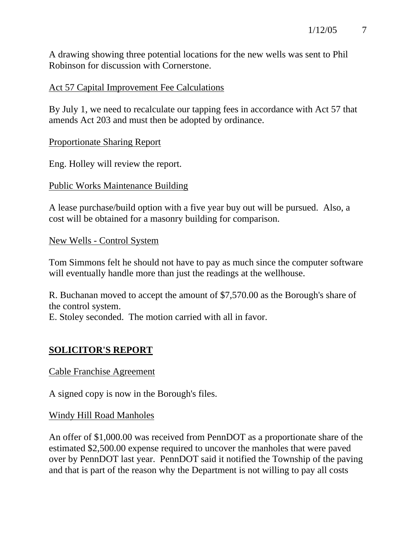A drawing showing three potential locations for the new wells was sent to Phil Robinson for discussion with Cornerstone.

## Act 57 Capital Improvement Fee Calculations

By July 1, we need to recalculate our tapping fees in accordance with Act 57 that amends Act 203 and must then be adopted by ordinance.

### Proportionate Sharing Report

Eng. Holley will review the report.

### Public Works Maintenance Building

A lease purchase/build option with a five year buy out will be pursued. Also, a cost will be obtained for a masonry building for comparison.

### New Wells - Control System

Tom Simmons felt he should not have to pay as much since the computer software will eventually handle more than just the readings at the wellhouse.

R. Buchanan moved to accept the amount of \$7,570.00 as the Borough's share of the control system.

E. Stoley seconded. The motion carried with all in favor.

# **SOLICITOR'S REPORT**

### Cable Franchise Agreement

A signed copy is now in the Borough's files.

### Windy Hill Road Manholes

An offer of \$1,000.00 was received from PennDOT as a proportionate share of the estimated \$2,500.00 expense required to uncover the manholes that were paved over by PennDOT last year. PennDOT said it notified the Township of the paving and that is part of the reason why the Department is not willing to pay all costs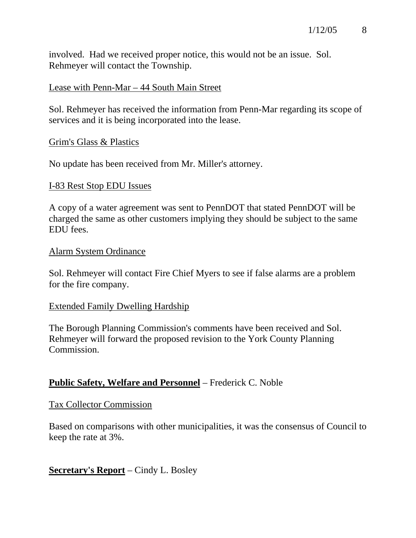involved. Had we received proper notice, this would not be an issue. Sol. Rehmeyer will contact the Township.

#### Lease with Penn-Mar – 44 South Main Street

Sol. Rehmeyer has received the information from Penn-Mar regarding its scope of services and it is being incorporated into the lease.

#### Grim's Glass & Plastics

No update has been received from Mr. Miller's attorney.

#### I-83 Rest Stop EDU Issues

A copy of a water agreement was sent to PennDOT that stated PennDOT will be charged the same as other customers implying they should be subject to the same EDU fees.

#### Alarm System Ordinance

Sol. Rehmeyer will contact Fire Chief Myers to see if false alarms are a problem for the fire company.

#### Extended Family Dwelling Hardship

The Borough Planning Commission's comments have been received and Sol. Rehmeyer will forward the proposed revision to the York County Planning Commission.

### **Public Safety, Welfare and Personnel** – Frederick C. Noble

#### Tax Collector Commission

Based on comparisons with other municipalities, it was the consensus of Council to keep the rate at 3%.

### **Secretary's Report** – Cindy L. Bosley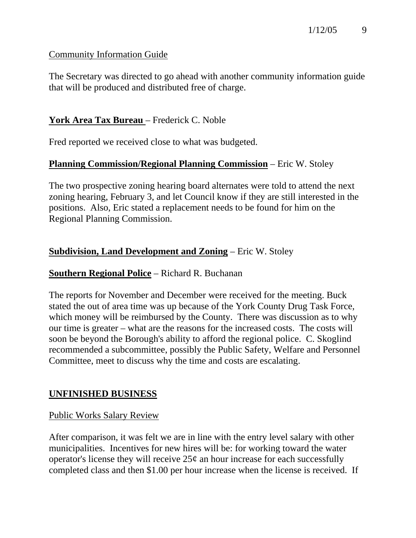### Community Information Guide

The Secretary was directed to go ahead with another community information guide that will be produced and distributed free of charge.

## **York Area Tax Bureau** – Frederick C. Noble

Fred reported we received close to what was budgeted.

# **Planning Commission/Regional Planning Commission** – Eric W. Stoley

The two prospective zoning hearing board alternates were told to attend the next zoning hearing, February 3, and let Council know if they are still interested in the positions. Also, Eric stated a replacement needs to be found for him on the Regional Planning Commission.

# **Subdivision, Land Development and Zoning** – Eric W. Stoley

### **Southern Regional Police** – Richard R. Buchanan

The reports for November and December were received for the meeting. Buck stated the out of area time was up because of the York County Drug Task Force, which money will be reimbursed by the County. There was discussion as to why our time is greater – what are the reasons for the increased costs. The costs will soon be beyond the Borough's ability to afford the regional police. C. Skoglind recommended a subcommittee, possibly the Public Safety, Welfare and Personnel Committee, meet to discuss why the time and costs are escalating.

# **UNFINISHED BUSINESS**

### Public Works Salary Review

After comparison, it was felt we are in line with the entry level salary with other municipalities. Incentives for new hires will be: for working toward the water operator's license they will receive  $25¢$  an hour increase for each successfully completed class and then \$1.00 per hour increase when the license is received. If